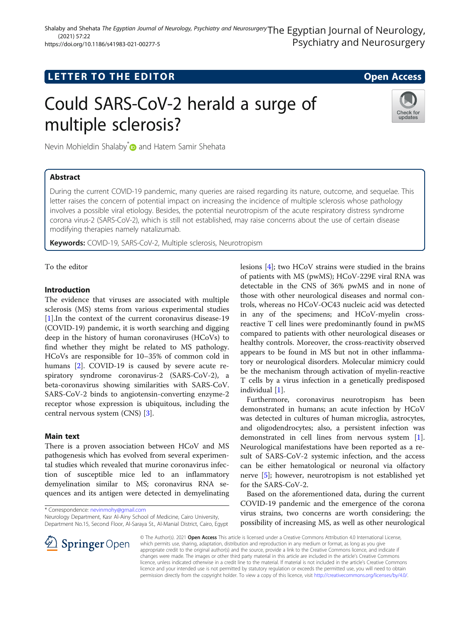# **LETTER TO THE EDITOR CONSIDERING ACCESS**

# Could SARS-CoV-2 herald a surge of multiple sclerosis?



Nevin Mohieldin Shalaby<sup>[\\*](http://orcid.org/0000-0001-9925-8367)</sup> and Hatem Samir Shehata

## Abstract

During the current COVID-19 pandemic, many queries are raised regarding its nature, outcome, and sequelae. This letter raises the concern of potential impact on increasing the incidence of multiple sclerosis whose pathology involves a possible viral etiology. Besides, the potential neurotropism of the acute respiratory distress syndrome corona virus-2 (SARS-CoV-2), which is still not established, may raise concerns about the use of certain disease modifying therapies namely natalizumab.

**Keywords:** COVID-19, SARS-CoV-2, Multiple sclerosis, Neurotropism

To the editor

#### Introduction

The evidence that viruses are associated with multiple sclerosis (MS) stems from various experimental studies [[1\]](#page-1-0).In the context of the current coronavirus disease-19 (COVID-19) pandemic, it is worth searching and digging deep in the history of human coronaviruses (HCoVs) to find whether they might be related to MS pathology. HCoVs are responsible for 10–35% of common cold in humans [\[2](#page-1-0)]. COVID-19 is caused by severe acute respiratory syndrome coronavirus-2 (SARS-CoV-2), a beta-coronavirus showing similarities with SARS-CoV. SARS-CoV-2 binds to angiotensin-converting enzyme-2 receptor whose expression is ubiquitous, including the central nervous system (CNS) [\[3\]](#page-1-0).

#### Main text

There is a proven association between HCoV and MS pathogenesis which has evolved from several experimental studies which revealed that murine coronavirus infection of susceptible mice led to an inflammatory demyelination similar to MS; coronavirus RNA sequences and its antigen were detected in demyelinating

\* Correspondence: [nevinmohy@gmail.com](mailto:nevinmohy@gmail.com)

Neurology Department, Kasr Al-Ainy School of Medicine, Cairo University, Department No.15, Second Floor, Al-Saraya St., Al-Manial District, Cairo, Egypt lesions [[4\]](#page-1-0); two HCoV strains were studied in the brains of patients with MS (pwMS); HCoV-229E viral RNA was detectable in the CNS of 36% pwMS and in none of those with other neurological diseases and normal controls, whereas no HCoV-OC43 nucleic acid was detected in any of the specimens; and HCoV-myelin crossreactive T cell lines were predominantly found in pwMS compared to patients with other neurological diseases or healthy controls. Moreover, the cross-reactivity observed appears to be found in MS but not in other inflammatory or neurological disorders. Molecular mimicry could be the mechanism through activation of myelin-reactive T cells by a virus infection in a genetically predisposed individual [\[1](#page-1-0)].

Furthermore, coronavirus neurotropism has been demonstrated in humans; an acute infection by HCoV was detected in cultures of human microglia, astrocytes, and oligodendrocytes; also, a persistent infection was demonstrated in cell lines from nervous system [\[1](#page-1-0)]. Neurological manifestations have been reported as a result of SARS-CoV-2 systemic infection, and the access can be either hematological or neuronal via olfactory nerve [\[5](#page-1-0)]; however, neurotropism is not established yet for the SARS-CoV-2.

Based on the aforementioned data, during the current COVID-19 pandemic and the emergence of the corona virus strains, two concerns are worth considering; the possibility of increasing MS, as well as other neurological



© The Author(s). 2021 Open Access This article is licensed under a Creative Commons Attribution 4.0 International License, which permits use, sharing, adaptation, distribution and reproduction in any medium or format, as long as you give appropriate credit to the original author(s) and the source, provide a link to the Creative Commons licence, and indicate if changes were made. The images or other third party material in this article are included in the article's Creative Commons licence, unless indicated otherwise in a credit line to the material. If material is not included in the article's Creative Commons licence and your intended use is not permitted by statutory regulation or exceeds the permitted use, you will need to obtain permission directly from the copyright holder. To view a copy of this licence, visit <http://creativecommons.org/licenses/by/4.0/>.